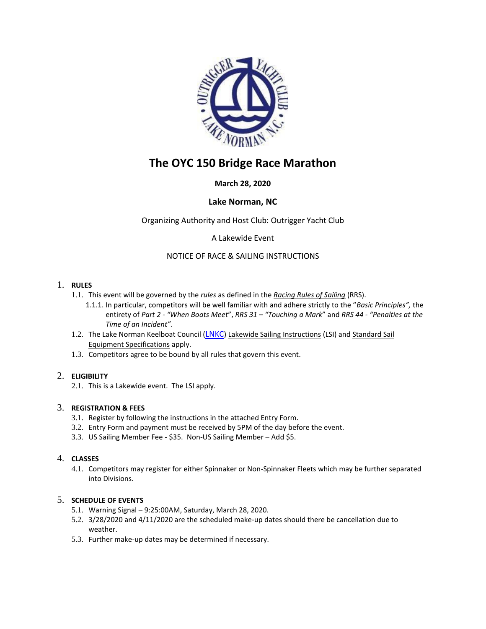

# **The OYC 150 Bridge Race Marathon**

## **March 28, 2020**

## **Lake Norman, NC**

Organizing Authority and Host Club: Outrigger Yacht Club

A Lakewide Event

## NOTICE OF RACE & SAILING INSTRUCTIONS

#### 1. **RULES**

- 1.1. This event will be governed by the *rules* as defined in the *Racing Rules of Sailing* (RRS).
	- 1.1.1. In particular, competitors will be well familiar with and adhere strictly to the "*Basic Principles",* the entirety of *Part 2 - "When Boats Meet*", *RRS 31 – "Touching a Mark*" and *RRS 44 - "Penalties at the Time of an Incident".*
- 1.2. The Lake Norman Keelboat Council ([LNKC](http://lnkc.com/)) Lakewide Sailing Instructions (LSI) and Standard Sail Equipment Specifications apply.
- 1.3. Competitors agree to be bound by all rules that govern this event.

#### 2. **ELIGIBILITY**

2.1. This is a Lakewide event. The LSI apply.

#### 3. **REGISTRATION & FEES**

- 3.1. Register by following the instructions in the attached Entry Form.
- 3.2. Entry Form and payment must be received by 5PM of the day before the event.
- 3.3. US Sailing Member Fee \$35. Non-US Sailing Member Add \$5.

## 4. **CLASSES**

4.1. Competitors may register for either Spinnaker or Non-Spinnaker Fleets which may be further separated into Divisions.

#### 5. **SCHEDULE OF EVENTS**

- 5.1. Warning Signal 9:25:00AM, Saturday, March 28, 2020.
- 5.2. 3/28/2020 and 4/11/2020 are the scheduled make-up dates should there be cancellation due to weather.
- 5.3. Further make-up dates may be determined if necessary.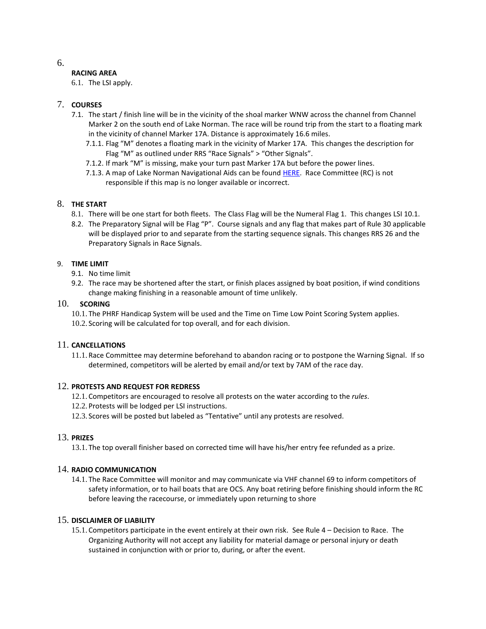### **RACING AREA**

6.1. The LSI apply.

## 7. **COURSES**

- 7.1. The start / finish line will be in the vicinity of the shoal marker WNW across the channel from Channel Marker 2 on the south end of Lake Norman. The race will be round trip from the start to a floating mark in the vicinity of channel Marker 17A. Distance is approximately 16.6 miles.
	- 7.1.1. Flag "M" denotes a floating mark in the vicinity of Marker 17A. This changes the description for Flag "M" as outlined under RRS "Race Signals" > "Other Signals".
	- 7.1.2. If mark "M" is missing, make your turn past Marker 17A but before the power lines.
	- 7.1.3. A map of Lake Norman Navigational Aids can be foun[d HERE.](https://www.google.com/maps/d/viewer?mid=13hFnT2lMLxa7Z2jTWD27P4MoFHs&hl=en&ll=35.556986533705945%2C-80.86683888969424&z=11) Race Committee (RC) is not responsible if this map is no longer available or incorrect.

#### 8. **THE START**

- 8.1. There will be one start for both fleets. The Class Flag will be the Numeral Flag 1. This changes LSI 10.1.
- 8.2. The Preparatory Signal will be Flag "P". Course signals and any flag that makes part of Rule 30 applicable will be displayed prior to and separate from the starting sequence signals. This changes RRS 26 and the Preparatory Signals in Race Signals.

#### 9. **TIME LIMIT**

- 9.1. No time limit
- 9.2. The race may be shortened after the start, or finish places assigned by boat position, if wind conditions change making finishing in a reasonable amount of time unlikely.

#### 10. **SCORING**

- 10.1. The PHRF Handicap System will be used and the Time on Time Low Point Scoring System applies.
- 10.2. Scoring will be calculated for top overall, and for each division.

#### 11. **CANCELLATIONS**

11.1. Race Committee may determine beforehand to abandon racing or to postpone the Warning Signal. If so determined, competitors will be alerted by email and/or text by 7AM of the race day.

#### 12. **PROTESTS AND REQUEST FOR REDRESS**

- 12.1. Competitors are encouraged to resolve all protests on the water according to the *rules*.
- 12.2. Protests will be lodged per LSI instructions.
- 12.3. Scores will be posted but labeled as "Tentative" until any protests are resolved.

#### 13. **PRIZES**

13.1. The top overall finisher based on corrected time will have his/her entry fee refunded as a prize.

#### 14. **RADIO COMMUNICATION**

14.1. The Race Committee will monitor and may communicate via VHF channel 69 to inform competitors of safety information, or to hail boats that are OCS. Any boat retiring before finishing should inform the RC before leaving the racecourse, or immediately upon returning to shore

#### 15. **DISCLAIMER OF LIABILITY**

15.1. Competitors participate in the event entirely at their own risk. See Rule 4 – Decision to Race. The Organizing Authority will not accept any liability for material damage or personal injury or death sustained in conjunction with or prior to, during, or after the event.

6.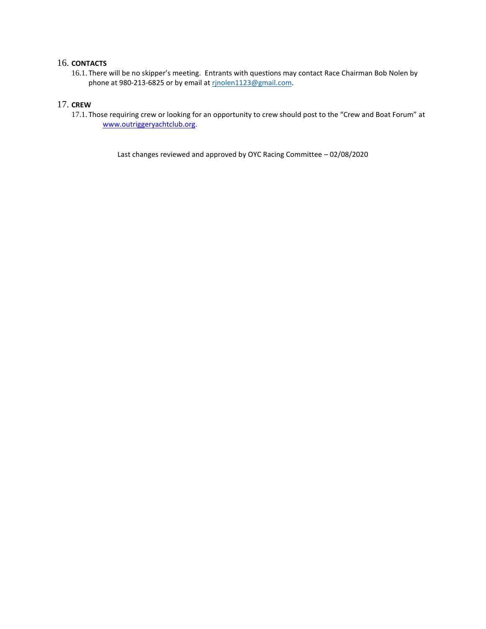## 16. **CONTACTS**

16.1. There will be no skipper's meeting. Entrants with questions may contact Race Chairman Bob Nolen by phone at 980-213-6825 or by email at rinolen1123@gmail.com.

#### 17. **CREW**

17.1. Those requiring crew or looking for an opportunity to crew should post to the "Crew and Boat Forum" at [www.outriggeryachtclub.org.](http://www.outriggeryachtclub.org/)

Last changes reviewed and approved by OYC Racing Committee – 02/08/2020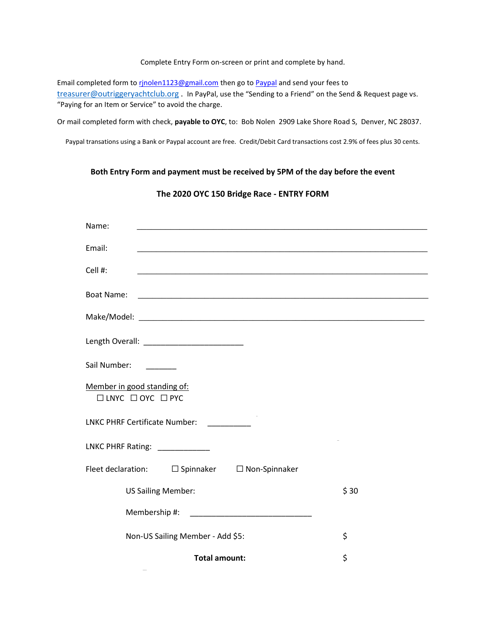#### Complete Entry Form on-screen or print and complete by hand.

Email completed form to rinolen1123@gmail.com then go to [Paypal](https://www.paypal.com/us/webapps/mpp/send-money-online) and send your fees to [treasurer@outriggeryachtclub.org](mailto:treasurer@outriggeryachtclub.org) . In PayPal, use the "Sending to a Friend" on the Send & Request page vs. "Paying for an Item or Service" to avoid the charge.

Or mail completed form with check, **payable to OYC**, to: Bob Nolen 2909 Lake Shore Road S, Denver, NC 28037.

Paypal transations using a Bank or Paypal account are free. Credit/Debit Card transactions cost 2.9% of fees plus 30 cents.

#### **Both Entry Form and payment must be received by 5PM of the day before the event**

#### **The 2020 OYC 150 Bridge Race - ENTRY FORM**

| Name:                                                            |      |
|------------------------------------------------------------------|------|
| Email:                                                           |      |
| Cell #:                                                          |      |
| <b>Boat Name:</b>                                                |      |
|                                                                  |      |
|                                                                  |      |
| Sail Number:                                                     |      |
| Member in good standing of:<br>$\Box$ LNYC $\Box$ OYC $\Box$ PYC |      |
| LNKC PHRF Certificate Number: _________                          |      |
| LNKC PHRF Rating: ____________                                   |      |
| Fleet declaration: □ Spinnaker □ Non-Spinnaker                   |      |
| <b>US Sailing Member:</b>                                        | \$30 |
| Membership #:                                                    |      |
| Non-US Sailing Member - Add \$5:                                 | \$   |
| <b>Total amount:</b>                                             | \$   |

 $\overline{\phantom{a}}$